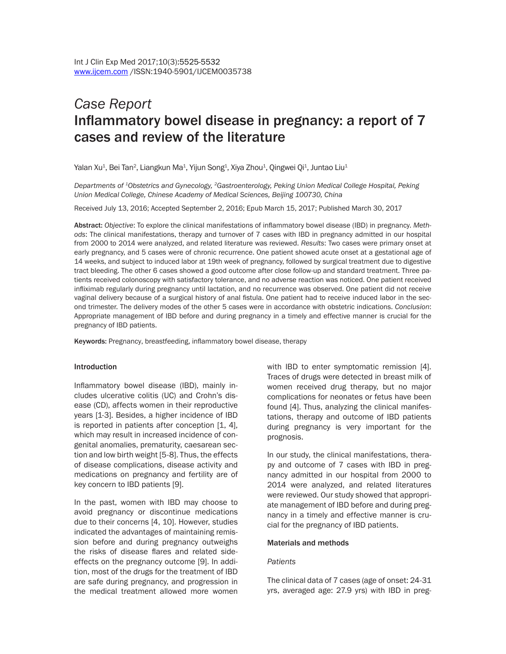# *Case Report*  Inflammatory bowel disease in pregnancy: a report of 7 cases and review of the literature

Yalan Xu $^{\rm 1}$ , Bei Tan $^{\rm 2}$ , Liangkun Ma $^{\rm 1}$ , Yijun Song $^{\rm 1}$ , Xiya Zhou $^{\rm 1}$ , Qingwei Qi $^{\rm 1}$ , Juntao Liu $^{\rm 1}$ 

*Departments of 1Obstetrics and Gynecology, 2Gastroenterology, Peking Union Medical College Hospital, Peking Union Medical College, Chinese Academy of Medical Sciences, Beijing 100730, China*

Received July 13, 2016; Accepted September 2, 2016; Epub March 15, 2017; Published March 30, 2017

Abstract: *Objective*: To explore the clinical manifestations of inflammatory bowel disease (IBD) in pregnancy. *Methods*: The clinical manifestations, therapy and turnover of 7 cases with IBD in pregnancy admitted in our hospital from 2000 to 2014 were analyzed, and related literature was reviewed. *Results*: Two cases were primary onset at early pregnancy, and 5 cases were of chronic recurrence. One patient showed acute onset at a gestational age of 14 weeks, and subject to induced labor at 19th week of pregnancy, followed by surgical treatment due to digestive tract bleeding. The other 6 cases showed a good outcome after close follow-up and standard treatment. Three patients received colonoscopy with satisfactory tolerance, and no adverse reaction was noticed. One patient received infliximab regularly during pregnancy until lactation, and no recurrence was observed. One patient did not receive vaginal delivery because of a surgical history of anal fistula. One patient had to receive induced labor in the second trimester. The delivery modes of the other 5 cases were in accordance with obstetric indications. *Conclusion*: Appropriate management of IBD before and during pregnancy in a timely and effective manner is crucial for the pregnancy of IBD patients.

Keywords: Pregnancy, breastfeeding, inflammatory bowel disease, therapy

#### Introduction

Inflammatory bowel disease (IBD), mainly includes ulcerative colitis (UC) and Crohn's disease (CD), affects women in their reproductive years [1-3]. Besides, a higher incidence of IBD is reported in patients after conception [1, 4], which may result in increased incidence of congenital anomalies, prematurity, caesarean section and low birth weight [5-8]. Thus, the effects of disease complications, disease activity and medications on pregnancy and fertility are of key concern to IBD patients [9].

In the past, women with IBD may choose to avoid pregnancy or discontinue medications due to their concerns [4, 10]. However, studies indicated the advantages of maintaining remission before and during pregnancy outweighs the risks of disease flares and related sideeffects on the pregnancy outcome [9]. In addition, most of the drugs for the treatment of IBD are safe during pregnancy, and progression in the medical treatment allowed more women

with IBD to enter symptomatic remission [4]. Traces of drugs were detected in breast milk of women received drug therapy, but no major complications for neonates or fetus have been found [4]. Thus, analyzing the clinical manifestations, therapy and outcome of IBD patients during pregnancy is very important for the prognosis.

In our study, the clinical manifestations, therapy and outcome of 7 cases with IBD in pregnancy admitted in our hospital from 2000 to 2014 were analyzed, and related literatures were reviewed. Our study showed that appropriate management of IBD before and during pregnancy in a timely and effective manner is crucial for the pregnancy of IBD patients.

### Materials and methods

### *Patients*

The clinical data of 7 cases (age of onset: 24-31 yrs, averaged age: 27.9 yrs) with IBD in preg-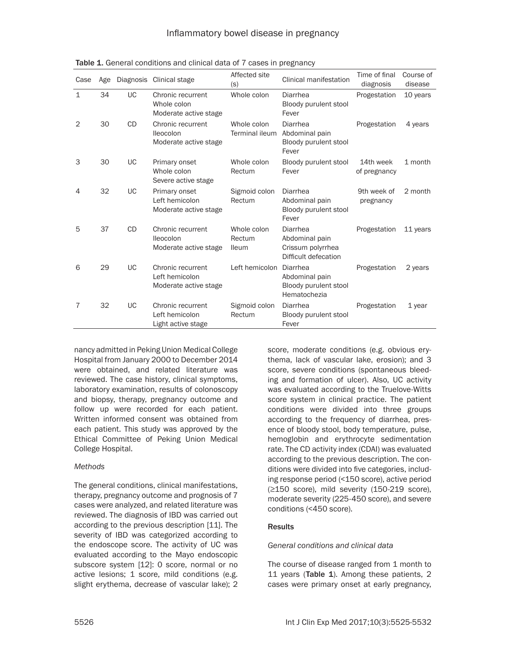| Case         | Age |           | Diagnosis Clinical stage                                     | Affected site<br>(s)                  | Clinical manifestation                                                  | Time of final<br>diagnosis | Course of<br>disease |
|--------------|-----|-----------|--------------------------------------------------------------|---------------------------------------|-------------------------------------------------------------------------|----------------------------|----------------------|
| $\mathbf{1}$ | 34  | UC        | Chronic recurrent<br>Whole colon<br>Moderate active stage    | Whole colon                           | Diarrhea<br>Bloody purulent stool<br>Fever                              | Progestation               | 10 years             |
| 2            | 30  | <b>CD</b> | Chronic recurrent<br>lleocolon<br>Moderate active stage      | Whole colon<br><b>Terminal ileum</b>  | Diarrhea<br>Abdominal pain<br>Bloody purulent stool<br>Fever            | Progestation               | 4 years              |
| 3            | 30  | UC        | Primary onset<br>Whole colon<br>Severe active stage          | Whole colon<br>Rectum                 | Bloody purulent stool<br>Fever                                          | 14th week<br>of pregnancy  | 1 month              |
| 4            | 32  | <b>UC</b> | Primary onset<br>Left hemicolon<br>Moderate active stage     | Sigmoid colon<br>Rectum               | Diarrhea<br>Abdominal pain<br>Bloody purulent stool<br>Fever            | 9th week of<br>pregnancy   | 2 month              |
| 5            | 37  | <b>CD</b> | Chronic recurrent<br>Ileocolon<br>Moderate active stage      | Whole colon<br>Rectum<br><b>Ileum</b> | Diarrhea<br>Abdominal pain<br>Crissum polyrrhea<br>Difficult defecation | Progestation               | 11 years             |
| 6            | 29  | UC        | Chronic recurrent<br>Left hemicolon<br>Moderate active stage | Left hemicolon Diarrhea               | Abdominal pain<br>Bloody purulent stool<br>Hematochezia                 | Progestation               | 2 years              |
| 7            | 32  | UC        | Chronic recurrent<br>Left hemicolon<br>Light active stage    | Sigmoid colon<br>Rectum               | Diarrhea<br>Bloody purulent stool<br>Fever                              | Progestation               | 1 year               |

Table 1. General conditions and clinical data of 7 cases in pregnancy

nancy admitted in Peking Union Medical College Hospital from January 2000 to December 2014 were obtained, and related literature was reviewed. The case history, clinical symptoms, laboratory examination, results of colonoscopy and biopsy, therapy, pregnancy outcome and follow up were recorded for each patient. Written informed consent was obtained from each patient. This study was approved by the Ethical Committee of Peking Union Medical College Hospital.

# *Methods*

The general conditions, clinical manifestations, therapy, pregnancy outcome and prognosis of 7 cases were analyzed, and related literature was reviewed. The diagnosis of IBD was carried out according to the previous description [11]. The severity of IBD was categorized according to the endoscope score. The activity of UC was evaluated according to the Mayo endoscopic subscore system [12]: 0 score, normal or no active lesions; 1 score, mild conditions (e.g. slight erythema, decrease of vascular lake); 2

score, moderate conditions (e.g. obvious erythema, lack of vascular lake, erosion); and 3 score, severe conditions (spontaneous bleeding and formation of ulcer). Also, UC activity was evaluated according to the Truelove-Witts score system in clinical practice. The patient conditions were divided into three groups according to the frequency of diarrhea, presence of bloody stool, body temperature, pulse, hemoglobin and erythrocyte sedimentation rate. The CD activity index (CDAI) was evaluated according to the previous description. The conditions were divided into five categories, including response period (<150 score), active period (≥150 score), mild severity (150-219 score), moderate severity (225-450 score), and severe conditions (<450 score).

# **Results**

# *General conditions and clinical data*

The course of disease ranged from 1 month to 11 years (Table 1). Among these patients, 2 cases were primary onset at early pregnancy,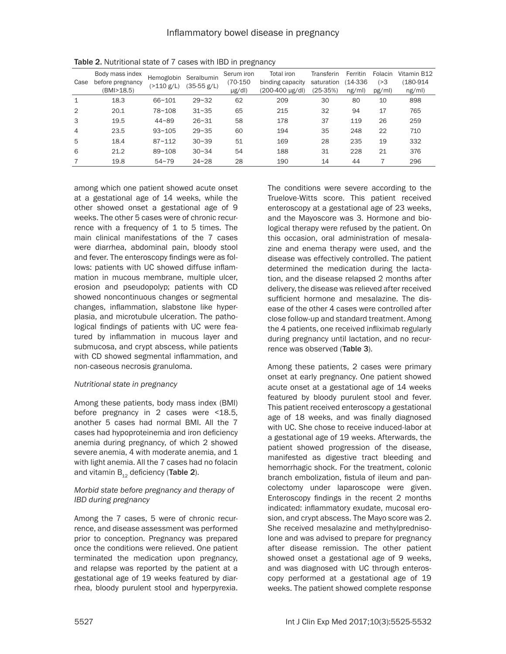| Case           | Body mass index<br>before pregnancy<br>(BMI>18.5) | Hemoglobin<br>$($ >110 g/L) | Seralbumin<br>$(35-55 g/L)$ | Serum iron<br>$(70-150)$<br>$\mu$ g/dl) | Total iron<br>binding capacity<br>(200-400 µg/dl) | Transferin<br>saturation<br>(25-35%) | Ferritin<br>14-336<br>ng/ml) | Folacin<br>( > 3)<br>pg/ml) | Vitamin B12<br>(180-914<br>ng/ml) |
|----------------|---------------------------------------------------|-----------------------------|-----------------------------|-----------------------------------------|---------------------------------------------------|--------------------------------------|------------------------------|-----------------------------|-----------------------------------|
| 1              | 18.3                                              | $66 - 101$                  | $29 - 32$                   | 62                                      | 209                                               | 30                                   | 80                           | 10                          | 898                               |
| $\overline{2}$ | 20.1                                              | 78~108                      | $31 - 35$                   | 65                                      | 215                                               | 32                                   | 94                           | 17                          | 765                               |
| 3              | 19.5                                              | $44 - 89$                   | $26 - 31$                   | 58                                      | 178                                               | 37                                   | 119                          | 26                          | 259                               |
| 4              | 23.5                                              | $93 - 105$                  | $29 - 35$                   | 60                                      | 194                                               | 35                                   | 248                          | 22                          | 710                               |
| 5              | 18.4                                              | $87 - 112$                  | $30 - 39$                   | 51                                      | 169                                               | 28                                   | 235                          | 19                          | 332                               |
| 6              | 21.2                                              | $89 - 108$                  | $30 - 34$                   | 54                                      | 188                                               | 31                                   | 228                          | 21                          | 376                               |
|                | 19.8                                              | $54 - 79$                   | $24 - 28$                   | 28                                      | 190                                               | 14                                   | 44                           |                             | 296                               |

Table 2. Nutritional state of 7 cases with IBD in pregnancy

among which one patient showed acute onset at a gestational age of 14 weeks, while the other showed onset a gestational age of 9 weeks. The other 5 cases were of chronic recurrence with a frequency of 1 to 5 times. The main clinical manifestations of the 7 cases were diarrhea, abdominal pain, bloody stool and fever. The enteroscopy findings were as follows: patients with UC showed diffuse inflammation in mucous membrane, multiple ulcer, erosion and pseudopolyp; patients with CD showed noncontinuous changes or segmental changes, inflammation, slabstone like hyperplasia, and microtubule ulceration. The pathological findings of patients with UC were featured by inflammation in mucous layer and submucosa, and crypt abscess, while patients with CD showed segmental inflammation, and non-caseous necrosis granuloma.

# *Nutritional state in pregnancy*

Among these patients, body mass index (BMI) before pregnancy in 2 cases were <18.5, another 5 cases had normal BMI. All the 7 cases had hypoproteinemia and iron deficiency anemia during pregnancy, of which 2 showed severe anemia, 4 with moderate anemia, and 1 with light anemia. All the 7 cases had no folacin and vitamin  $B_{12}$  deficiency (Table 2).

# *Morbid state before pregnancy and therapy of IBD during pregnancy*

Among the 7 cases, 5 were of chronic recurrence, and disease assessment was performed prior to conception. Pregnancy was prepared once the conditions were relieved. One patient terminated the medication upon pregnancy, and relapse was reported by the patient at a gestational age of 19 weeks featured by diarrhea, bloody purulent stool and hyperpyrexia. The conditions were severe according to the Truelove-Witts score. This patient received enteroscopy at a gestational age of 23 weeks, and the Mayoscore was 3. Hormone and biological therapy were refused by the patient. On this occasion, oral administration of mesalazine and enema therapy were used, and the disease was effectively controlled. The patient determined the medication during the lactation, and the disease relapsed 2 months after delivery, the disease was relieved after received sufficient hormone and mesalazine. The disease of the other 4 cases were controlled after close follow-up and standard treatment. Among the 4 patients, one received infliximab regularly during pregnancy until lactation, and no recurrence was observed (Table 3).

Among these patients, 2 cases were primary onset at early pregnancy. One patient showed acute onset at a gestational age of 14 weeks featured by bloody purulent stool and fever. This patient received enteroscopy a gestational age of 18 weeks, and was finally diagnosed with UC. She chose to receive induced-labor at a gestational age of 19 weeks. Afterwards, the patient showed progression of the disease, manifested as digestive tract bleeding and hemorrhagic shock. For the treatment, colonic branch embolization, fistula of ileum and pancolectomy under laparoscope were given. Enteroscopy findings in the recent 2 months indicated: inflammatory exudate, mucosal erosion, and crypt abscess. The Mayo score was 2. She received mesalazine and methylprednisolone and was advised to prepare for pregnancy after disease remission. The other patient showed onset a gestational age of 9 weeks, and was diagnosed with UC through enteroscopy performed at a gestational age of 19 weeks. The patient showed complete response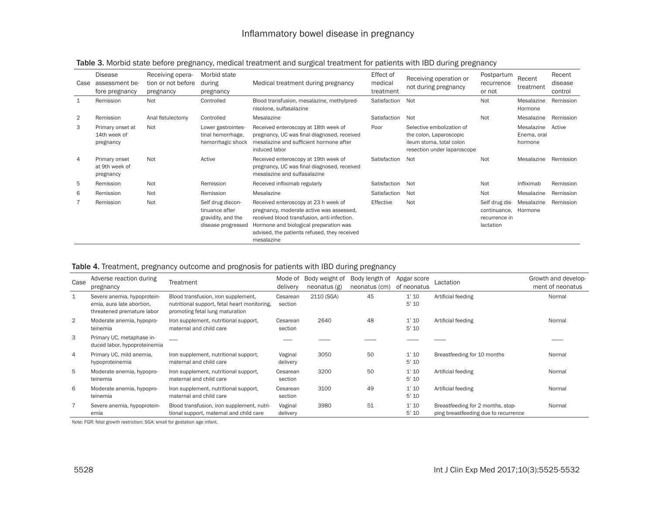# Inflammatory bowel disease in pregnancy

| Case | Disease<br>assessment be-<br>fore pregnancy   | Receiving opera-<br>tion or not before<br>pregnancy | Morbid state<br>during<br>pregnancy                                             | Medical treatment during pregnancy                                                                                                                                                                                                      | Effect of<br>medical<br>treatment | Receiving operation or<br>not during pregnancy                                                                  | Postpartum<br>recurrence<br>or not                           | Recent<br>treatment                  | Recent<br>disease<br>control |
|------|-----------------------------------------------|-----------------------------------------------------|---------------------------------------------------------------------------------|-----------------------------------------------------------------------------------------------------------------------------------------------------------------------------------------------------------------------------------------|-----------------------------------|-----------------------------------------------------------------------------------------------------------------|--------------------------------------------------------------|--------------------------------------|------------------------------|
|      | Remission                                     | Not                                                 | Controlled                                                                      | Blood transfusion, mesalazine, methylpred-<br>nisolone, sulfasalazine                                                                                                                                                                   | Satisfaction                      | Not                                                                                                             | Not                                                          | Mesalazine<br>Hormone                | Remission                    |
| 2    | Remission                                     | Anal fistulectomy                                   | Controlled                                                                      | Mesalazine                                                                                                                                                                                                                              | Satisfaction                      | Not                                                                                                             | Not                                                          | Mesalazine                           | Remission                    |
| 3    | Primary onset at<br>14th week of<br>pregnancy | Not                                                 | Lower gastrointes-<br>tinal hemorrhage,<br>hemorrhagic shock                    | Received enteroscopy at 18th week of<br>pregnancy, UC was final diagnosed, received<br>mesalazine and sufficient hormone after<br>induced labor                                                                                         | Poor                              | Selective embolization of<br>the colon, Laparoscopic<br>ileum stoma, total colon<br>resection under laparoscope |                                                              | Mesalazine<br>Enema, oral<br>hormone | Active                       |
| 4    | Primary onset<br>at 9th week of<br>pregnancy  | Not                                                 | Active                                                                          | Received enteroscopy at 19th week of<br>pregnancy, UC was final diagnosed, received<br>mesalazine and sulfasalazine                                                                                                                     | Satisfaction                      | Not                                                                                                             | Not                                                          | Mesalazine                           | Remission                    |
| 5    | Remission                                     | Not                                                 | Remission                                                                       | Received infliximab regularly                                                                                                                                                                                                           | Satisfaction                      | <b>Not</b>                                                                                                      | Not                                                          | Infliximab                           | Remission                    |
| 6    | Remission                                     | Not                                                 | Remission                                                                       | Mesalazine                                                                                                                                                                                                                              | Satisfaction                      | Not                                                                                                             | Not                                                          | Mesalazine                           | Remission                    |
|      | Remission                                     | Not                                                 | Self drug discon-<br>tinuance after<br>gravidity, and the<br>disease progressed | Received enteroscopy at 23 h week of<br>pregnancy, moderate active was assessed,<br>received blood transfusion, anti-infection.<br>Hormone and biological preparation was<br>advised, the patients refused, they received<br>mesalazine | Effective                         | Not                                                                                                             | Self drug dis-<br>continuance,<br>recurrence in<br>lactation | Mesalazine<br>Hormone                | Remission                    |

# Table 3. Morbid state before pregnancy, medical treatment and surgical treatment for patients with IBD during pregnancy

### Table 4. Treatment, pregnancy outcome and prognosis for patients with IBD during pregnancy

| Case           | Adverse reaction during<br>pregnancy                                                   | Treatment                                                                                                              | Mode of<br>delivery | Body weight of<br>neonatus(g) | Body length of<br>neonatus (cm) | Apgar score<br>of neonatus | Lactation                                                                 | Growth and develop-<br>ment of neonatus |
|----------------|----------------------------------------------------------------------------------------|------------------------------------------------------------------------------------------------------------------------|---------------------|-------------------------------|---------------------------------|----------------------------|---------------------------------------------------------------------------|-----------------------------------------|
| 1              | Severe anemia, hypoprotein-<br>emia, aura late abortion,<br>threatened premature labor | Blood transfusion, iron supplement,<br>nutritional support, fetal heart monitoring.<br>promoting fetal lung maturation | Cesarean<br>section | 2110 (SGA)                    | 45                              | 1'10<br>5'10               | Artificial feeding                                                        | Normal                                  |
| 2              | Moderate anemia, hypopro-<br>teinemia                                                  | Iron supplement, nutritional support,<br>maternal and child care                                                       | Cesarean<br>section | 2640                          | 48                              | 1'10<br>5'10               | Artificial feeding                                                        | Normal                                  |
| 3              | Primary UC, metaphase in-<br>duced labor, hypoproteinemia                              |                                                                                                                        |                     |                               |                                 |                            |                                                                           |                                         |
| $\overline{4}$ | Primary UC, mild anemia,<br>hypoproteinemia                                            | Iron supplement, nutritional support,<br>maternal and child care                                                       | Vaginal<br>delivery | 3050                          | 50                              | 1'10<br>5'10               | Breastfeeding for 10 months                                               | Normal                                  |
| 5              | Moderate anemia, hypopro-<br>teinemia                                                  | Iron supplement, nutritional support,<br>maternal and child care                                                       | Cesarean<br>section | 3200                          | 50                              | 1'10<br>5'10               | Artificial feeding                                                        | Normal                                  |
| 6              | Moderate anemia, hypopro-<br>teinemia                                                  | Iron supplement, nutritional support,<br>maternal and child care                                                       | Cesarean<br>section | 3100                          | 49                              | 1'10<br>5'10               | Artificial feeding                                                        | Normal                                  |
|                | Severe anemia, hypoprotein-<br>emia                                                    | Blood transfusion, iron supplement, nutri-<br>tional support, maternal and child care                                  | Vaginal<br>delivery | 3980                          | 51                              | 1'10<br>5'10               | Breastfeeding for 2 months, stop-<br>ping breastfeeding due to recurrence | Normal                                  |

Note: FGR: fetal growth restriction; SGA: small for gestation age infant.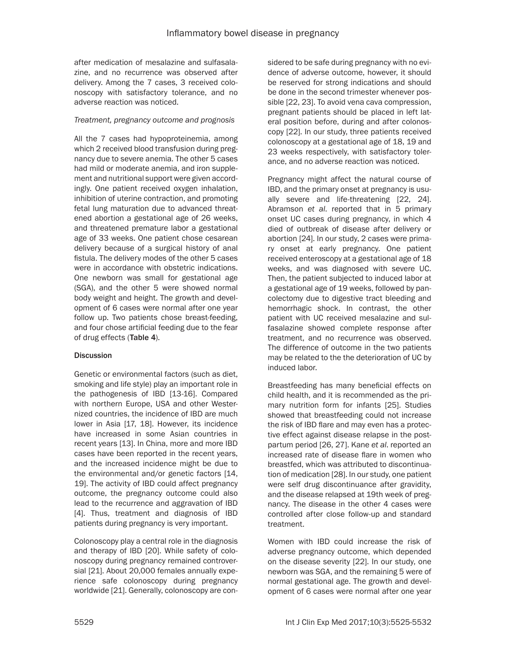after medication of mesalazine and sulfasalazine, and no recurrence was observed after delivery. Among the 7 cases, 3 received colonoscopy with satisfactory tolerance, and no adverse reaction was noticed.

### *Treatment, pregnancy outcome and prognosis*

All the 7 cases had hypoproteinemia, among which 2 received blood transfusion during pregnancy due to severe anemia. The other 5 cases had mild or moderate anemia, and iron supplement and nutritional support were given accordingly. One patient received oxygen inhalation, inhibition of uterine contraction, and promoting fetal lung maturation due to advanced threatened abortion a gestational age of 26 weeks, and threatened premature labor a gestational age of 33 weeks. One patient chose cesarean delivery because of a surgical history of anal fistula. The delivery modes of the other 5 cases were in accordance with obstetric indications. One newborn was small for gestational age (SGA), and the other 5 were showed normal body weight and height. The growth and development of 6 cases were normal after one year follow up. Two patients chose breast-feeding, and four chose artificial feeding due to the fear of drug effects (Table 4).

# **Discussion**

Genetic or environmental factors (such as diet, smoking and life style) play an important role in the pathogenesis of IBD [13-16]. Compared with northern Europe, USA and other Westernized countries, the incidence of IBD are much lower in Asia [17, 18]. However, its incidence have increased in some Asian countries in recent years [13]. In China, more and more IBD cases have been reported in the recent years, and the increased incidence might be due to the environmental and/or genetic factors [14, 19]. The activity of IBD could affect pregnancy outcome, the pregnancy outcome could also lead to the recurrence and aggravation of IBD [4]. Thus, treatment and diagnosis of IBD patients during pregnancy is very important.

Colonoscopy play a central role in the diagnosis and therapy of IBD [20]. While safety of colonoscopy during pregnancy remained controversial [21]. About 20,000 females annually experience safe colonoscopy during pregnancy worldwide [21]. Generally, colonoscopy are considered to be safe during pregnancy with no evidence of adverse outcome, however, it should be reserved for strong indications and should be done in the second trimester whenever possible [22, 23]. To avoid vena cava compression, pregnant patients should be placed in left lateral position before, during and after colonoscopy [22]. In our study, three patients received colonoscopy at a gestational age of 18, 19 and 23 weeks respectively, with satisfactory tolerance, and no adverse reaction was noticed.

Pregnancy might affect the natural course of IBD, and the primary onset at pregnancy is usually severe and life-threatening [22, 24]. Abramson *et al*. reported that in 5 primary onset UC cases during pregnancy, in which 4 died of outbreak of disease after delivery or abortion [24]. In our study, 2 cases were primary onset at early pregnancy. One patient received enteroscopy at a gestational age of 18 weeks, and was diagnosed with severe UC. Then, the patient subjected to induced labor at a gestational age of 19 weeks, followed by pancolectomy due to digestive tract bleeding and hemorrhagic shock. In contrast, the other patient with UC received mesalazine and sulfasalazine showed complete response after treatment, and no recurrence was observed. The difference of outcome in the two patients may be related to the the deterioration of UC by induced labor.

Breastfeeding has many beneficial effects on child health, and it is recommended as the primary nutrition form for infants [25]. Studies showed that breastfeeding could not increase the risk of IBD flare and may even has a protective effect against disease relapse in the postpartum period [26, 27]. Kane *et al*. reported an increased rate of disease flare in women who breastfed, which was attributed to discontinuation of medication [28]. In our study, one patient were self drug discontinuance after gravidity, and the disease relapsed at 19th week of pregnancy. The disease in the other 4 cases were controlled after close follow-up and standard treatment.

Women with IBD could increase the risk of adverse pregnancy outcome, which depended on the disease severity [22]. In our study, one newborn was SGA, and the remaining 5 were of normal gestational age. The growth and development of 6 cases were normal after one year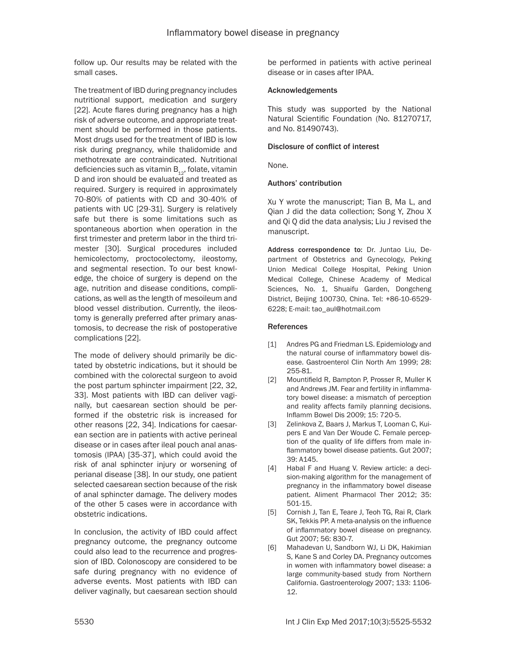follow up. Our results may be related with the small cases.

The treatment of IBD during pregnancy includes nutritional support, medication and surgery [22]. Acute flares during pregnancy has a high risk of adverse outcome, and appropriate treatment should be performed in those patients. Most drugs used for the treatment of IBD is low risk during pregnancy, while thalidomide and methotrexate are contraindicated. Nutritional deficiencies such as vitamin  $B_{12}$ , folate, vitamin D and iron should be evaluated and treated as required. Surgery is required in approximately 70-80% of patients with CD and 30-40% of patients with UC [29-31]. Surgery is relatively safe but there is some limitations such as spontaneous abortion when operation in the first trimester and preterm labor in the third trimester [30]. Surgical procedures included hemicolectomy, proctocolectomy, ileostomy, and segmental resection. To our best knowledge, the choice of surgery is depend on the age, nutrition and disease conditions, complications, as well as the length of mesoileum and blood vessel distribution. Currently, the ileostomy is generally preferred after primary anastomosis, to decrease the risk of postoperative complications [22].

The mode of delivery should primarily be dictated by obstetric indications, but it should be combined with the colorectal surgeon to avoid the post partum sphincter impairment [22, 32, 33]. Most patients with IBD can deliver vaginally, but caesarean section should be performed if the obstetric risk is increased for other reasons [22, 34]. Indications for caesarean section are in patients with active perineal disease or in cases after ileal pouch anal anastomosis (IPAA) [35-37], which could avoid the risk of anal sphincter injury or worsening of perianal disease [38]. In our study, one patient selected caesarean section because of the risk of anal sphincter damage. The delivery modes of the other 5 cases were in accordance with obstetric indications.

In conclusion, the activity of IBD could affect pregnancy outcome, the pregnancy outcome could also lead to the recurrence and progression of IBD. Colonoscopy are considered to be safe during pregnancy with no evidence of adverse events. Most patients with IBD can deliver vaginally, but caesarean section should

be performed in patients with active perineal disease or in cases after IPAA.

### Acknowledgements

This study was supported by the National Natural Scientific Foundation (No. 81270717, and No. 81490743).

# Disclosure of conflict of interest

None.

### Authors' contribution

Xu Y wrote the manuscript; Tian B, Ma L, and Qian J did the data collection; Song Y, Zhou X and Qi Q did the data analysis; Liu J revised the manuscript.

Address correspondence to: Dr. Juntao Liu, Department of Obstetrics and Gynecology, Peking Union Medical College Hospital, Peking Union Medical College, Chinese Academy of Medical Sciences, No. 1, Shuaifu Garden, Dongcheng District, Beijing 100730, China. Tel: +86-10-6529- 6228; E-mail: [tao\\_aul@hotmail.com](mailto:tao_aul@hotmail.com)

### References

- [1] Andres PG and Friedman LS. Epidemiology and the natural course of inflammatory bowel disease. Gastroenterol Clin North Am 1999; 28: 255-81.
- [2] Mountifield R, Bampton P, Prosser R, Muller K and Andrews JM. Fear and fertility in inflammatory bowel disease: a mismatch of perception and reality affects family planning decisions. Inflamm Bowel Dis 2009; 15: 720-5.
- [3] Zelinkova Z, Baars J, Markus T, Looman C, Kuipers E and Van Der Woude C. Female perception of the quality of life differs from male inflammatory bowel disease patients. Gut 2007; 39: A145.
- [4] Habal F and Huang V. Review article: a decision-making algorithm for the management of pregnancy in the inflammatory bowel disease patient. Aliment Pharmacol Ther 2012; 35: 501-15.
- [5] Cornish J, Tan E, Teare J, Teoh TG, Rai R, Clark SK, Tekkis PP. A meta-analysis on the influence of inflammatory bowel disease on pregnancy. Gut 2007; 56: 830-7.
- [6] Mahadevan U, Sandborn WJ, Li DK, Hakimian S, Kane S and Corley DA. Pregnancy outcomes in women with inflammatory bowel disease: a large community-based study from Northern California. Gastroenterology 2007; 133: 1106- 12.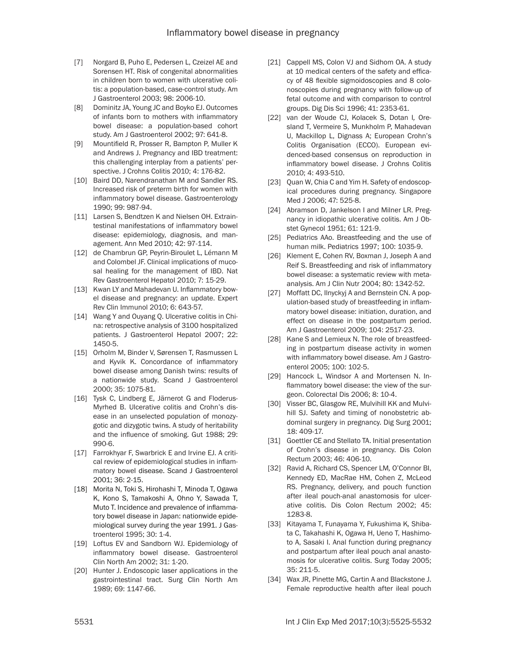- [7] Norgard B, Puho E, Pedersen L, Czeizel AE and Sorensen HT. Risk of congenital abnormalities in children born to women with ulcerative colitis: a population-based, case-control study. Am J Gastroenterol 2003; 98: 2006-10.
- [8] Dominitz JA, Young JC and Boyko EJ. Outcomes of infants born to mothers with inflammatory bowel disease: a population-based cohort study. Am J Gastroenterol 2002; 97: 641-8.
- [9] Mountifield R, Prosser R, Bampton P, Muller K and Andrews J. Pregnancy and IBD treatment: this challenging interplay from a patients' perspective. J Crohns Colitis 2010; 4: 176-82.
- [10] Baird DD, Narendranathan M and Sandler RS. Increased risk of preterm birth for women with inflammatory bowel disease. Gastroenterology 1990; 99: 987-94.
- [11] Larsen S, Bendtzen K and Nielsen OH. Extraintestinal manifestations of inflammatory bowel disease: epidemiology, diagnosis, and management. Ann Med 2010; 42: 97-114.
- [12] de Chambrun GP, Peyrin-Biroulet L, Lémann M and Colombel JF. Clinical implications of mucosal healing for the management of IBD. Nat Rev Gastroenterol Hepatol 2010; 7: 15-29.
- [13] Kwan LY and Mahadevan U. Inflammatory bowel disease and pregnancy: an update. Expert Rev Clin Immunol 2010; 6: 643-57.
- [14] Wang Y and Ouyang Q. Ulcerative colitis in China: retrospective analysis of 3100 hospitalized patients. J Gastroenterol Hepatol 2007; 22: 1450-5.
- [15] Orholm M, Binder V, Sørensen T, Rasmussen L and Kyvik K. Concordance of inflammatory bowel disease among Danish twins: results of a nationwide study. Scand J Gastroenterol 2000; 35: 1075-81.
- [16] Tysk C, Lindberg E, Järnerot G and Floderus-Myrhed B. Ulcerative colitis and Crohn's disease in an unselected population of monozygotic and dizygotic twins. A study of heritability and the influence of smoking. Gut 1988; 29: 990-6.
- [17] Farrokhyar F, Swarbrick E and Irvine EJ. A critical review of epidemiological studies in inflammatory bowel disease. Scand J Gastroenterol 2001; 36: 2-15.
- [18] Morita N, Toki S, Hirohashi T*,* Minoda T, Ogawa K, Kono S, Tamakoshi A, Ohno Y, Sawada T, Muto T. Incidence and prevalence of inflammatory bowel disease in Japan: nationwide epidemiological survey during the year 1991. J Gastroenterol 1995; 30: 1-4.
- [19] Loftus EV and Sandborn WJ. Epidemiology of inflammatory bowel disease. Gastroenterol Clin North Am 2002; 31: 1-20.
- [20] Hunter J. Endoscopic laser applications in the gastrointestinal tract. Surg Clin North Am 1989; 69: 1147-66.
- [21] Cappell MS, Colon VJ and Sidhom OA. A study at 10 medical centers of the safety and efficacy of 48 flexible sigmoidoscopies and 8 colonoscopies during pregnancy with follow-up of fetal outcome and with comparison to control groups. Dig Dis Sci 1996; 41: 2353-61.
- [22] van der Woude CJ, Kolacek S, Dotan I*,* Oresland T, Vermeire S, Munkholm P, Mahadevan U, Mackillop L, Dignass A; European Crohn's Colitis Organisation (ECCO). European evidenced-based consensus on reproduction in inflammatory bowel disease. J Crohns Colitis 2010; 4: 493-510.
- [23] Quan W, Chia C and Yim H. Safety of endoscopical procedures during pregnancy. Singapore Med J 2006; 47: 525-8.
- [24] Abramson D, Jankelson I and Milner LR. Pregnancy in idiopathic ulcerative colitis. Am J Obstet Gynecol 1951; 61: 121-9.
- [25] Pediatrics AAo. Breastfeeding and the use of human milk. Pediatrics 1997; 100: 1035-9.
- [26] Klement E, Cohen RV, Boxman J, Joseph A and Reif S. Breastfeeding and risk of inflammatory bowel disease: a systematic review with metaanalysis. Am J Clin Nutr 2004; 80: 1342-52.
- [27] Moffatt DC, Ilnyckyj A and Bernstein CN. A population-based study of breastfeeding in inflammatory bowel disease: initiation, duration, and effect on disease in the postpartum period. Am J Gastroenterol 2009; 104: 2517-23.
- [28] Kane S and Lemieux N. The role of breastfeeding in postpartum disease activity in women with inflammatory bowel disease. Am J Gastroenterol 2005; 100: 102-5.
- [29] Hancock L, Windsor A and Mortensen N. Inflammatory bowel disease: the view of the surgeon. Colorectal Dis 2006; 8: 10-4.
- [30] Visser BC, Glasgow RE, Mulvihill KK and Mulvihill SJ. Safety and timing of nonobstetric abdominal surgery in pregnancy. Dig Surg 2001; 18: 409-17.
- [31] Goettler CE and Stellato TA. Initial presentation of Crohn's disease in pregnancy. Dis Colon Rectum 2003; 46: 406-10.
- [32] Ravid A, Richard CS, Spencer LM*,* O'Connor BI, Kennedy ED, MacRae HM, Cohen Z, McLeod RS. Pregnancy, delivery, and pouch function after ileal pouch-anal anastomosis for ulcerative colitis. Dis Colon Rectum 2002; 45: 1283-8.
- [33] Kitayama T, Funayama Y, Fukushima K*,* Shibata C, Takahashi K, Ogawa H, Ueno T, Hashimoto A, Sasaki I. Anal function during pregnancy and postpartum after ileal pouch anal anastomosis for ulcerative colitis. Surg Today 2005; 35: 211-5.
- [34] Wax JR, Pinette MG, Cartin A and Blackstone J. Female reproductive health after ileal pouch